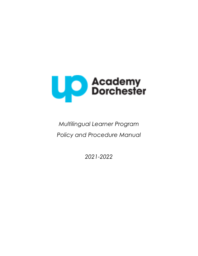

# *Multilingual Learner Program Policy and Procedure Manual*

*2021-2022*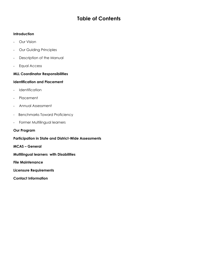# **Table of Contents**

# **Introduction**

- Our Vision
- Our Guiding Principles
- Description of the Manual
- Equal Access

# **MLL Coordinator Responsibilities**

### **Identification and Placement**

- Identification
- Placement
- Annual Assessment
- Benchmarks Toward Proficiency
- Former Multilingual learners

# **Our Program**

### **Participation in State and District-Wide Assessments**

**MCAS – General**

**Multilingual learners with Disabilities**

**File Maintenance**

**Licensure Requirements**

**Contact Information**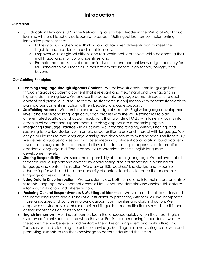# **Introduction**

# **Our Vision**

- UP Education Network's (UP or the Network) goal is to be a leader in the fiMLLd of Multilingual learning where all teachers collaborate to support Multilingual learners by implementing innovative practices that:
	- Utilize rigorous, higher-order thinking and data-driven differentiation to meet the linguistic and academic needs of all learners;
	- Empower MLLs as global citizens and real-world problem solvers, while celebrating their multilingual and multicultural identities; and
	- Promote the acquisition of academic discourse and content knowledge necessary for MLL scholars to be successful in mainstream classrooms, high school, college, and beyond.

### **Our Guiding Principles**

- **Learning Language Through Rigorous Content -** We believe students learn language best through rigorous academic content that is relevant and meaningful and by engaging in higher-order thinking tasks. We analyze the academic language demands specific to each content and grade level and use the WIDA standards in conjunction with content standards to plan rigorous content instruction with embedded language supports.
- **Scaffolding Access -** We combine our knowledge of students' English language development levels and the second language acquisition process with the WIDA standards to plan differentiated scaffolds and accommodations that provide all MLLs with fair entry points into grade level content and support them in making appropriate academic progress.
- **Integrating Language Practice -** In all lessons, we integrate reading, writing, listening, and speaking to provide students with ample opportunities to use and interact with language. We design our lessons so that language learning and deep robust thinking happen simultaneously. We deliver language-rich lessons that foster meaningful student collaboration, build academic discourse through oral interaction, and allow all students multiple opportunities to practice academic language in different capacities appropriate to their English language development levels.
- **Sharing Responsibility** We share the responsibility of teaching language. We believe that all teachers should support one another by coordinating and collaborating in planning for language and content instruction. We draw on ESL teachers' knowledge and expertise in advocating for MLLs and build the capacity of content teachers to teach the academic language of their discipline.
- **Using Data to Drive Instruction -** We consistently use both formal and informal measurements of students' language development across all four language domains and analyze this data to inform our instruction and differentiation.
- **Fostering Cultural Responsiveness & Multilingual Identities -** We value and seek to understand the home languages and cultures of our students by partnering with families. We incorporate those languages and cultures into our classroom communities and daily instruction. We empower our students to embrace their multilingualism and multiculturalism and see this part of their identities as an asset to society.
- **English Immersion -** Multilingual learners learn the language quickly when they hear English used by proficient speakers and when they use English to do meaningful academic work. At the same time, we believe in and reinforce the value of bilingualism and multiculturalism. Teachers do this by learning the unique knowledge Multilingual learners bring to a lesson and prompting students to use that knowledge to better understand the lesson.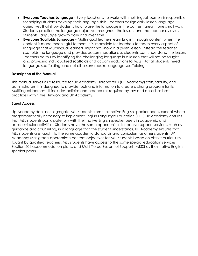- **Everyone Teaches Language** Every teacher who works with multilingual learners is responsible for helping students develop their language skills. Teachers design daily lesson language objectives that show students how to use the language in the content area in one small way. Students practice the language objective throughout the lesson, and the teacher assesses students' language growth daily and over time.
- **Everyone Scaffolds Language -** Multilingual learners learn English through content when the content is made meaningful to them. It is impossible for teachers to teach every aspect of language that Multilingual learners might not know in a given lesson. Instead the teacher scaffolds the language and provides accommodations so students can understand the lesson. Teachers do this by identifying the challenging language in a lesson that will not be taught and providing individualized scaffolds and accommodations to MLLs. Not all students need language scaffolding, and not all lessons require language scaffolding.

### **Description of the Manual**

This manual serves as a resource for UP Academy Dorchester's (UP Academy) staff, faculty, and administrators. It is designed to provide tools and information to create a strong program for its Multilingual learners . It includes policies and procedures required by law and describes best practices within the Network and UP Academy.

### **Equal Access**

Up Academy does not segregate MLL students from their native English speaker peers, except where programmatically necessary to implement English Language Education (ELE.) UP Academy ensures that MLL students participate fully with their native English speaker peers in academic and extracurricular activities. Students have the same opportunities to receive support services, such as guidance and counseling, in a language that the student understands. UP Academy ensures that MLL students are taught to the same academic standards and curriculum as other students. UP Academy uses grade-appropriate content objectives for MLL students based on district curriculum taught by qualified teachers. MLL students have access to the same special education services, Section 504 accommodation plans, and Multi-Tiered System of Support (MTSS) as their native English speaker peers.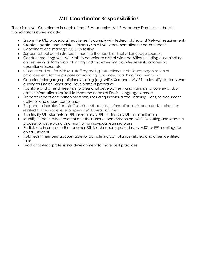# **MLL Coordinator Responsibilities**

There is an MLL Coordinator in each of the UP Academies. At UP Academy Dorchester, the MLL Coordinator's duties include:

- Ensure the MLL procedural requirements comply with federal, state, and Network requirements
- Create, update, and maintain folders with all MLL documentation for each student
- Coordinate and manage ACCESS testing
- Support school administrators in meeting the needs of English Language Learners
- Conduct meetings with MLL staff to coordinate district-wide activities including disseminating and receiving information, planning and implementing activities/events, addressing operational issues, etc.
- Observe and confer with MLL staff regarding instructional techniques, organization of practices, etc. for the purpose of providing guidance, coaching and mentoring
- Coordinate language proficiency testing (e.g. WIDA Screener, W-APT) to identify students who qualify for English Language Development programs.
- Facilitate and attend meetings, professional development, and trainings to convey and/or gather information required to meet the needs of English language learners
- Prepares reports and written materials, including Individualized Learning Plans, to document activities and ensure compliance
- Respond to inquiries from staff seeking MLL related information, assistance and/or direction related to the grade level or special MLL area activities
- Re-classify MLL students as FEL, or re-classify FEL students as MLL, as applicable
- Identify students who have not met their annual benchmarks on ACCESS testing and lead the process for developing and monitoring individual learning plans
- Participate in or ensure that another ESL teacher participates in any MTSS or IEP meetings for an MLL student
- Hold team members accountable for completing compliance-related and other identified tasks
- Lead or co-lead professional development to share best practices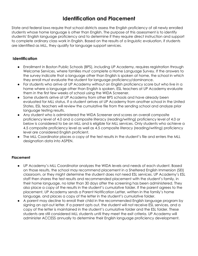# **Identification and Placement**

State and federal laws require that school districts assess the English proficiency of all newly enrolled students whose home language is other than English. The purpose of this assessment is to identify students' English language proficiency and to determine if they require direct instruction and support to complete ordinary class work in English. Based on the results of a linguistic evaluation, if students are identified as MLL, they qualify for language support services.

# **Identification**

- Enrollment in Boston Public Schools (BPS), including UP Academy, requires registration through Welcome Services, where families must complete a Home Language Survey. If the answers to the survey indicate that a language other than English is spoken at home, the school in which they enroll must evaluate the student for language proficiency/dominance.
- For students who arrive at UP Academy without an English proficiency score but who live in a home where a language other than English is spoken, ESL teachers at UP Academy evaluate them in the first few weeks of school using the WIDA Screener.
- Some students arrive at UP Academy from other BPS schools and have already been evaluated for MLL status. If a student arrives at UP Academy from another school in the United States, ESL teachers will review the cumulative file from the sending school and analyze prior language testing results.
- Any student who is administered the WIDA Screener and scores an overall composite proficiency level of 4.0 and a composite literacy (reading/writing) proficiency level of 4.0 or below is considered to be an MLL and is eligible for MLL services. Only students who achieve a 4.5 composite proficiency level as well as 4.5 composite literacy (reading/writing) proficiency level are considered English proficient.
- The MLL Coordinator places a copy of the test results in the student's file and enters the MLL designation data into ASPEN.

# **Placement**

- UP Academy's MLL Coordinator analyzes the WIDA levels and needs of each student. Based on those results, the school may recommend placement in a Sheltered English Immersion (SEI) classroom, or they might determine the student does not need ESL services. UP Academy's ESL staff then shares the test results and recommended placement with the student's family, in their home language, no later than 30 days after the screening has been administered. They also place a copy of the results in the student's cumulative folder. If the parent agrees to the placement, UP Academy sends a Parent Notification Letter, written in the family's home language, and places a copy of the letter in the student's cumulative folder.
- A parent may decline to enroll their child in the recommended English language program by signing an opt-out letter. If a parent opts out, the student will not receive ESL services, and a copy of the letter is maintained in the student's cumulative folder and the ESL folder. These students are still considered MLL students until they meet the exit criteria. UP Academy will administer ACCESS annually to determine their English language proficiency development.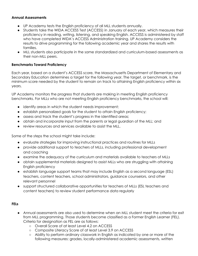### **Annual Assessments**

- UP Academy tests the English proficiency of all MLL students annually.
- Students take the WIDA ACCESS Test (ACCESS) in January of each year, which measures their proficiency in reading, writing, listening, and speaking English. ACCESS is administered by staff who have completed WIDA's ACCESS Administration training. UP Academy considers the results to drive programming for the following academic year and shares the results with families.
- MLL students also participate in the same standardized and curriculum-based assessments as their non-MLL peers.

### **Benchmarks Toward Proficiency**

Each year, based on a student's ACCESS score, the Massachusetts Department of Elementary and Secondary Education determines a target for the following year. The target, or benchmark, is the minimum score needed by the student to remain on track to attaining English proficiency within six years.

UP Academy monitors the progress that students are making in meeting English proficiency benchmarks. For MLLs who are not meeting English proficiency benchmarks, the school will:

- identify areas in which the student needs improvement;
- establish personalized goals for the student to attain English proficiency;
- assess and track the student's progress in the identified areas;
- obtain and incorporate input from the parents or legal guardian of the MLL; and
- review resources and services available to assist the MLL.

Some of the steps the school might take include:

- evaluate strategies for improving instructional practices and routines for MLLs
- provide additional support to teachers of MLLs, including professional development and coaching
- examine the adequacy of the curriculum and materials available to teachers of MLLs
- obtain supplemental materials designed to assist MLLs who are struggling with attaining English proficiency
- establish language support teams that may include English as a second language (ESL) teachers, content teachers, school administrators, guidance counselors, and other relevant personnel
- support structured collaborative opportunities for teachers of MLLs (ESL teachers and content teachers) to review student performance data regularly

#### **FELs**

- Annual assessments are also used to determine when an MLL student meet the criteria for exit from MLL programming. Those students become classified as a Former English Learner (FEL). Criteria for designation as FEL are as follows:
	- Overall Score of at least Level 4.2 on ACCESS
	- Composite Literacy Score of at least Level 3.9 on ACCESS
	- Ability to perform ordinary classwork in English as indicated by one or more of the following measures: grades, locally-administered academic assessments, written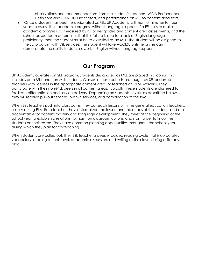observations and recommendations from the student's teachers, WIDA Performance Definitions and CAN DO Descriptors, and performance on MCAS content area tests

Once a student has been re-designated as FEL, UP Academy will monitor him/her for four years to assess their academic progress without language support. If a FEL fails to make academic progress, as measured by his or her grades and content area assessments, and the school-based team determines that this failure is due to a lack of English language proficiency, then the student must be re-classified as an MLL. The student will be assigned to the SEI program with ESL services. The student will take ACCESS until he or she can demonstrate the ability to do class work in English without language support.

# **Our Program**

UP Academy operates an SEI program. Students designated as MLL are placed in a cohort that includes both MLL and non-MLL students. Classes in those cohorts are taught by SEI-endorsed teachers with licenses in the appropriate content area (or teachers on DESE waivers). They participate with their non-MLL peers in all content areas. Typically, these students are clustered to facilitate differentiation and service delivery. Depending on students' levels, as described below, they will receive pull-out services, push-in services, or a combination of the two.

When ESL teachers push into classrooms, they co-teach lessons with the general education teachers, usually during ELA. Both teachers have internalized the lesson and the needs of the students and are accountable for content mastery and language development. They meet at the beginning of the school year to establish a relationship, norm on classroom culture, and start to get to know the students on their rosters. They have common planning opportunities throughout the school year during which they plan for co-teaching.

When students are pulled out, their ESL teacher a deeper guided reading cycle that incorporates vocabulary, reading at their level, academic discussion, and writing at their level during a literacy block.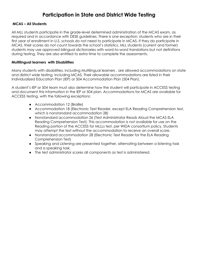# **Participation in State and District Wide Testing**

### **MCAS – All Students**

All MLL students participate in the grade-level determined administration of the MCAS exam, as required and in accordance with DESE guidelines. There is one exception: students who are in their first year of enrollment in U.S. schools do not need to participate in MCAS. If they do participate in MCAS, their scores do not count towards the school's statistics. MLL students (current and former) students may use approved bilingual dictionaries with word-to-word translations but not definitions during testing. They are also entitled to extra time to complete the assessments.

# **Multilingual learners with Disabilities**

Many students with disabilities, including Multilingual learners , are allowed accommodations on state and district wide testing, including MCAS. Their allowable accommodations are listed in their Individualized Education Plan (IEP) or 504 Accommodation Plan (504 Plan).

A student's IEP or 504 team must also determine how the student will participate in ACCESS testing and document this information in the IEP or 504 plan. Accommodations for MCAS are available for ACCESS testing, with the following exceptions:

- Accommodation 12 (Braille)
- Accommodation 18 (Electronic Text Reader, except ELA Reading Comprehension test, which is nonstandard accommodation 28)
- Nonstandard accommodation 26 (Test Administrator Reads Aloud the MCAS ELA Reading Comprehension Test). This accommodation is not available for use on the Reading portion of the ACCESS for MLLLs test, per WIDA consortium policy. Students may attempt the test without the accommodation to receive an overall score.
- Nonstandard accommodation 28 (Electronic Text Reader for the ELA Reading Comprehension Test)
- Speaking and Listening are presented together, alternating between a listening task and a speaking task.
- The test administrator scores all components as test is administered.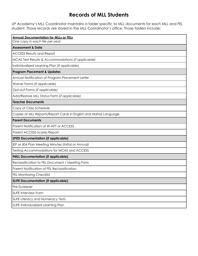# **Records of MLL Students**

UP Academy's MLL Coordinator maintains a folder specific to MLL documents for each MLL and FEL student. Those records are stored in the MLL Coordinator's office. Those folders include:

| <b>Annual Documentation for MLLs or FELs</b><br>One copy in each file per year |  |  |
|--------------------------------------------------------------------------------|--|--|
| <b>Assessment &amp; Data</b>                                                   |  |  |
| <b>ACCESS Results and Report</b>                                               |  |  |
| MCAS Test Results & Accommodations (if applicable)                             |  |  |
| Individualized Learning Plan (if applicable)                                   |  |  |
| <b>Program Placement &amp; Updates</b>                                         |  |  |
| Annual Notification of Program Placement Letter                                |  |  |
| Waiver Forms (if applicable)                                                   |  |  |
| Opt-out Forms (if applicable)                                                  |  |  |
| Add/Restore MLL Status Form (if applicable)                                    |  |  |
| <b>Teacher Documents</b>                                                       |  |  |
| Copy of Class Schedule                                                         |  |  |
| Copies of MLL Reports/Report Cards in English and Native Language              |  |  |
| <b>Parent Documents</b>                                                        |  |  |
| Parent Notification of W-APT or ACCESS                                         |  |  |
| Parent ACCESS Scores Report                                                    |  |  |
| <b>SPED Documentation (if applicable)</b>                                      |  |  |
| IEP or 504 Plan Meeting Minutes (Initial or Annual)                            |  |  |
| Testing Accommodations for MCAS and ACCESS                                     |  |  |
| <b>FMLL Documentation (if applicable)</b>                                      |  |  |
| Reclassification to FEL Document / Meeting Form                                |  |  |
| Parent Notification of FEL Reclassification                                    |  |  |
| <b>FEL Monitoring Checklist</b>                                                |  |  |
| <b>SLIFE Documentation (if applicable)</b>                                     |  |  |
| Pre-Screener                                                                   |  |  |
| <b>SLIFE Interview Form</b>                                                    |  |  |
| <b>SLIFE Literacy and Numeracy Tests</b>                                       |  |  |
| SLIFE Individualized Learning Plan                                             |  |  |